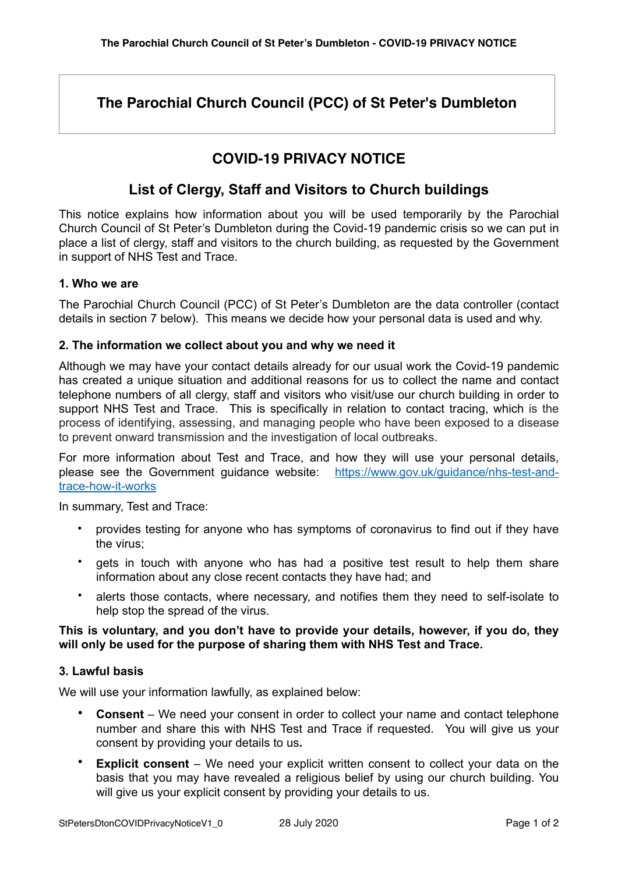# **The Parochial Church Council (PCC) of St Peter's Dumbleton**

# **COVID-19 PRIVACY NOTICE**

# **List of Clergy, Staff and Visitors to Church buildings**

This notice explains how information about you will be used temporarily by the Parochial Church Council of St Peter's Dumbleton during the Covid-19 pandemic crisis so we can put in place a list of clergy, staff and visitors to the church building, as requested by the Government in support of NHS Test and Trace.

## **1. Who we are**

The Parochial Church Council (PCC) of St Peter's Dumbleton are the data controller (contact details in section 7 below). This means we decide how your personal data is used and why.

### **2. The information we collect about you and why we need it**

Although we may have your contact details already for our usual work the Covid-19 pandemic has created a unique situation and additional reasons for us to collect the name and contact telephone numbers of all clergy, staff and visitors who visit/use our church building in order to support NHS Test and Trace. This is specifically in relation to contact tracing, which is the process of identifying, assessing, and managing people who have been exposed to a disease to prevent onward transmission and the investigation of local outbreaks.

For more information about Test and Trace, and how they will use your personal details, please see the Government guidance website: [https://www.gov.uk/guidance/nhs-test-and](https://www.gov.uk/guidance/nhs-test-and-trace-how-it-works)[trace-how-it-works](https://www.gov.uk/guidance/nhs-test-and-trace-how-it-works)

In summary, Test and Trace:

- provides testing for anyone who has symptoms of coronavirus to find out if they have the virus;
- gets in touch with anyone who has had a positive test result to help them share information about any close recent contacts they have had; and
- alerts those contacts, where necessary, and notifies them they need to self-isolate to help stop the spread of the virus.

## **This is voluntary, and you don't have to provide your details, however, if you do, they will only be used for the purpose of sharing them with NHS Test and Trace.**

### **3. Lawful basis**

We will use your information lawfully, as explained below:

- **Consent** We need your consent in order to collect your name and contact telephone number and share this with NHS Test and Trace if requested. You will give us your consent by providing your details to us**.**
- **Explicit consent** We need your explicit written consent to collect your data on the basis that you may have revealed a religious belief by using our church building. You will give us your explicit consent by providing your details to us.